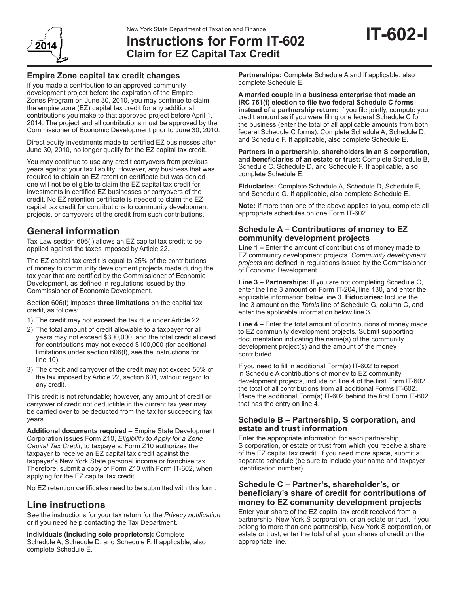

# New York State Department of Taxation and Finance<br>**Instructions for Form IT-602 IT-602-I Claim for EZ Capital Tax Credit**

## **Empire Zone capital tax credit changes**

If you made a contribution to an approved community development project before the expiration of the Empire Zones Program on June 30, 2010, you may continue to claim the empire zone (EZ) capital tax credit for any additional contributions you make to that approved project before April 1, 2014. The project and all contributions must be approved by the Commissioner of Economic Development prior to June 30, 2010.

Direct equity investments made to certified EZ businesses after June 30, 2010, no longer qualify for the EZ capital tax credit.

You may continue to use any credit carryovers from previous years against your tax liability. However, any business that was required to obtain an EZ retention certificate but was denied one will not be eligible to claim the EZ capital tax credit for investments in certified EZ businesses or carryovers of the credit. No EZ retention certificate is needed to claim the EZ capital tax credit for contributions to community development projects, or carryovers of the credit from such contributions.

# **General information**

Tax Law section 606(l) allows an EZ capital tax credit to be applied against the taxes imposed by Article 22.

The EZ capital tax credit is equal to 25% of the contributions of money to community development projects made during the tax year that are certified by the Commissioner of Economic Development, as defined in regulations issued by the Commissioner of Economic Development.

Section 606(l) imposes **three limitations** on the capital tax credit, as follows:

- 1) The credit may not exceed the tax due under Article 22.
- 2) The total amount of credit allowable to a taxpayer for all years may not exceed \$300,000, and the total credit allowed for contributions may not exceed \$100,000 (for additional limitations under section 606(l), see the instructions for line 10).
- 3) The credit and carryover of the credit may not exceed 50% of the tax imposed by Article 22, section 601, without regard to any credit.

This credit is not refundable; however, any amount of credit or carryover of credit not deductible in the current tax year may be carried over to be deducted from the tax for succeeding tax years.

**Additional documents required –** Empire State Development Corporation issues Form Z10, *Eligibility to Apply for a Zone Capital Tax Credit*, to taxpayers. Form Z10 authorizes the taxpayer to receive an EZ capital tax credit against the taxpayer's New York State personal income or franchise tax. Therefore, submit a copy of Form Z10 with Form IT-602, when applying for the EZ capital tax credit.

No EZ retention certificates need to be submitted with this form.

## **Line instructions**

See the instructions for your tax return for the *Privacy notification* or if you need help contacting the Tax Department.

**Individuals (including sole proprietors):** Complete Schedule A, Schedule D, and Schedule F. If applicable, also complete Schedule E.

**Partnerships:** Complete Schedule A and if applicable, also complete Schedule E.

**A married couple in a business enterprise that made an IRC 761(f) election to file two federal Schedule C forms instead of a partnership return:** If you file jointly, compute your credit amount as if you were filing one federal Schedule C for the business (enter the total of all applicable amounts from both federal Schedule C forms). Complete Schedule A, Schedule D, and Schedule F. If applicable, also complete Schedule E.

**Partners in a partnership, shareholders in an S corporation, and beneficiaries of an estate or trust:** Complete Schedule B, Schedule C, Schedule D, and Schedule F. If applicable, also complete Schedule E.

**Fiduciaries:** Complete Schedule A, Schedule D, Schedule F, and Schedule G. If applicable, also complete Schedule E.

**Note:** If more than one of the above applies to you, complete all appropriate schedules on one Form IT-602.

## **Schedule A – Contributions of money to EZ community development projects**

**Line 1 –** Enter the amount of contributions of money made to EZ community development projects. *Community development projects* are defined in regulations issued by the Commissioner of Economic Development.

**Line 3 – Partnerships:** If you are not completing Schedule C, enter the line 3 amount on Form IT-204, line 130, and enter the applicable information below line 3. **Fiduciaries:** Include the line 3 amount on the *Totals* line of Schedule G, column C, and enter the applicable information below line 3.

**Line 4 –** Enter the total amount of contributions of money made to EZ community development projects. Submit supporting documentation indicating the name(s) of the community development project(s) and the amount of the money contributed.

If you need to fill in additional Form(s) IT-602 to report in Schedule A contributions of money to EZ community development projects, include on line 4 of the first Form IT-602 the total of all contributions from all additional Forms IT-602. Place the additional Form(s) IT-602 behind the first Form IT-602 that has the entry on line 4.

## **Schedule B – Partnership, S corporation, and estate and trust information**

Enter the appropriate information for each partnership, S corporation, or estate or trust from which you receive a share of the EZ capital tax credit. If you need more space, submit a separate schedule (be sure to include your name and taxpayer identification number).

## **Schedule C – Partner's, shareholder's, or beneficiary's share of credit for contributions of money to EZ community development projects**

Enter your share of the EZ capital tax credit received from a partnership, New York S corporation, or an estate or trust. If you belong to more than one partnership, New York S corporation, or estate or trust, enter the total of all your shares of credit on the appropriate line.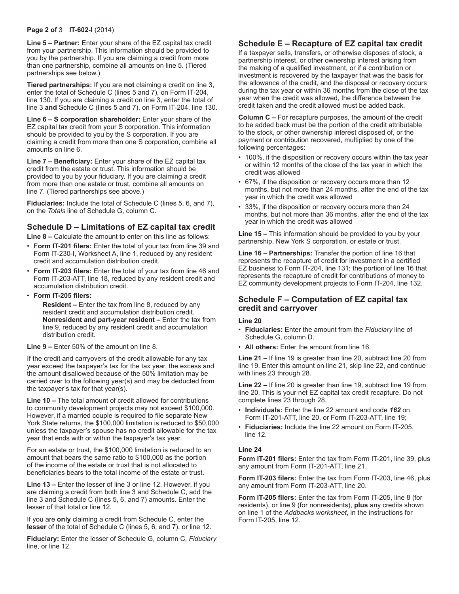#### **Page 2 of** 3 **IT-602-I** (2014)

**Line 5 – Partner:** Enter your share of the EZ capital tax credit from your partnership. This information should be provided to you by the partnership. If you are claiming a credit from more than one partnership, combine all amounts on line 5. (Tiered partnerships see below.)

**Tiered partnerships:** If you are **not** claiming a credit on line 3, enter the total of Schedule C (lines 5 and 7), on Form IT-204, line 130. If you are claiming a credit on line 3, enter the total of line 3 **and** Schedule C (lines 5 and 7), on Form IT-204, line 130.

**Line 6 – S corporation shareholder:** Enter your share of the EZ capital tax credit from your S corporation. This information should be provided to you by the S corporation. If you are claiming a credit from more than one S corporation, combine all amounts on line 6.

**Line 7 – Beneficiary:** Enter your share of the EZ capital tax credit from the estate or trust. This information should be provided to you by your fiduciary. If you are claiming a credit from more than one estate or trust, combine all amounts on line 7. (Tiered partnerships see above.)

**Fiduciaries:** Include the total of Schedule C (lines 5, 6, and 7), on the *Totals* line of Schedule G, column C.

## **Schedule D – Limitations of EZ capital tax credit**

**Line 8 –** Calculate the amount to enter on this line as follows:

- **Form IT-201 filers:** Enter the total of your tax from line 39 and Form IT-230-I, Worksheet A, line 1, reduced by any resident credit and accumulation distribution credit.
- **Form IT-203 filers:** Enter the total of your tax from line 46 and Form IT-203-ATT, line 18, reduced by any resident credit and accumulation distribution credit.
- **Form IT-205 filers:**

 **Resident –** Enter the tax from line 8, reduced by any resident credit and accumulation distribution credit. **Nonresident and part-year resident –** Enter the tax from line 9, reduced by any resident credit and accumulation distribution credit.

**Line 9 –** Enter 50% of the amount on line 8.

If the credit and carryovers of the credit allowable for any tax year exceed the taxpayer's tax for the tax year, the excess and the amount disallowed because of the 50% limitation may be carried over to the following year(s) and may be deducted from the taxpayer's tax for that year(s).

**Line 10 –** The total amount of credit allowed for contributions to community development projects may not exceed \$100,000. However, if a married couple is required to file separate New York State returns, the \$100,000 limitation is reduced to \$50,000 unless the taxpayer's spouse has no credit allowable for the tax year that ends with or within the taxpayer's tax year.

For an estate or trust, the \$100,000 limitation is reduced to an amount that bears the same ratio to \$100,000 as the portion of the income of the estate or trust that is not allocated to beneficiaries bears to the total income of the estate or trust.

**Line 13 –** Enter the lesser of line 3 or line 12. However, if you are claiming a credit from both line 3 and Schedule C, add the line 3 and Schedule C (lines 5, 6, and 7) amounts. Enter the lesser of that total or line 12.

If you are **only** claiming a credit from Schedule C, enter the **lesser** of the total of Schedule C (lines 5, 6, and 7), or line 12.

**Fiduciary:** Enter the lesser of Schedule G, column C, *Fiduciary* line, or line 12.

## **Schedule E – Recapture of EZ capital tax credit**

If a taxpayer sells, transfers, or otherwise disposes of stock, a partnership interest, or other ownership interest arising from the making of a qualified investment, or if a contribution or investment is recovered by the taxpayer that was the basis for the allowance of the credit, and the disposal or recovery occurs during the tax year or within 36 months from the close of the tax year when the credit was allowed, the difference between the credit taken and the credit allowed must be added back.

**Column C –** For recapture purposes, the amount of the credit to be added back must be the portion of the credit attributable to the stock, or other ownership interest disposed of, or the payment or contribution recovered, multiplied by one of the following percentages:

- 100%, if the disposition or recovery occurs within the tax year or within 12 months of the close of the tax year in which the credit was allowed
- 67%, if the disposition or recovery occurs more than 12 months, but not more than 24 months, after the end of the tax year in which the credit was allowed
- 33%, if the disposition or recovery occurs more than 24 months, but not more than 36 months, after the end of the tax year in which the credit was allowed

**Line 15 –** This information should be provided to you by your partnership, New York S corporation, or estate or trust.

**Line 16 – Partnerships:** Transfer the portion of line 16 that represents the recapture of credit for investment in a certified EZ business to Form IT-204, line 131; the portion of line 16 that represents the recapture of credit for contributions of money to EZ community development projects to Form IT-204, line 132.

## **Schedule F – Computation of EZ capital tax credit and carryover**

#### **Line 20**

- **Fiduciaries:** Enter the amount from the *Fiduciary* line of Schedule G, column D.
- **All others:** Enter the amount from line 16.

**Line 21 –** If line 19 is greater than line 20, subtract line 20 from line 19. Enter this amount on line 21, skip line 22, and continue with lines 23 through 28.

**Line 22 –** If line 20 is greater than line 19, subtract line 19 from line 20. This is your net EZ capital tax credit recapture. Do not complete lines 23 through 28.

- **Individuals:** Enter the line 22 amount and code *162* on Form IT-201-ATT, line 20, or Form IT-203-ATT, line 19;
- **Fiduciaries:** Include the line 22 amount on Form IT-205, line 12.

#### **Line 24**

**Form IT-201 filers:** Enter the tax from Form IT-201, line 39, plus any amount from Form IT-201-ATT, line 21.

**Form IT-203 filers:** Enter the tax from Form IT-203, line 46, plus any amount from Form IT-203-ATT, line 20.

**Form IT-205 filers:** Enter the tax from Form IT-205, line 8 (for residents), or line 9 (for nonresidents), **plus** any credits shown on line 1 of the *Addbacks worksheet*, in the instructions for Form IT-205, line 12.